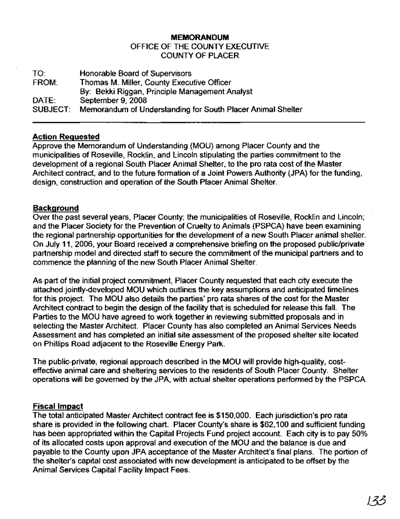# **MEMORANDUM** OFFICE OF THE COUNTY EXECUTIVE COUNTY OF PLACER

TO: FROM: DATE: SUBJECT: Honorable Board of Supervisors Thomas M. Miller, County Executive Officer By: Bekki Riggan, Principle Management Analyst September 9, 2008 Memorandum of Understanding for South Placer Animal Shelter

# **Action Requested**

Approve the Memorandum of Understanding (MOU) among Placer County and the municipalities of Roseville, Rocklin, and Lincoln stipulating the parties commitment to the development of a regional South Placer Animal Shelter, to the pro rata cost of the Master Architect contract, and to the future formation of a Joint Powers Authority (JPA) for the funding, design, construction and operation of the South Placer Animal Shelter.

# **Background**

Over the past several years, Placer County; the municipalities of Roseville, Rocklin and Lincoln; and the Placer Society for the Prevention of Cruelty to Animals (PSPCA) have been examining the regional partnership opportunities for the development of a new South Placer animal shelter. On July 11, 2006, your Board received a comprehensive briefing on the proposed public/private partnership model and directed staff to secure the commitment of the municipal partners and to commence the planning of the new South Placer Animal Shelter.

As part of the initial project commitment, Placer County requested that each city execute the attached jointly-developed MOU which outlines the key assumptions and anticipated timelines for this project. The MOU also details the parties' pro rata shares of the cost for the Master Architect contract to begin the design of the facility that is scheduled for release this fall. The Parties to the MOU have agreed to work together in reviewing submitted proposals and in selecting the Master Architect. Placer County has also completed an Animal Services Needs Assessment and has completed an initial site assessment of the proposed shelter site located on Phillips Road adjacent to the Roseville Energy Park.

The public-private, regional approach described in the MOU will provide high-quality, costeffective animal care and sheltering services to the residents of South Placer County. Shelter operations will be governed by the JPA, with actual shelter operations performed by the PSPCA.

# **Fiscal Impact**

The total anticipated Master Architect contract fee is \$150,000. Each jurisdiction's pro rata share is provided in the following chart. Placer County's share is \$62,100 and sufficient funding has been appropriated within the Capital Projects Fund project account. Each city is to pay 50% of its allocated costs upon approval and execution of the MOU and the balance is due and payable to the County upon JPA acceptance of the Master Architect's final plans. The portion of the shelter's capital cost associated with new development is anticipated to be offset by the Animal Services Capital Facility Impact Fees.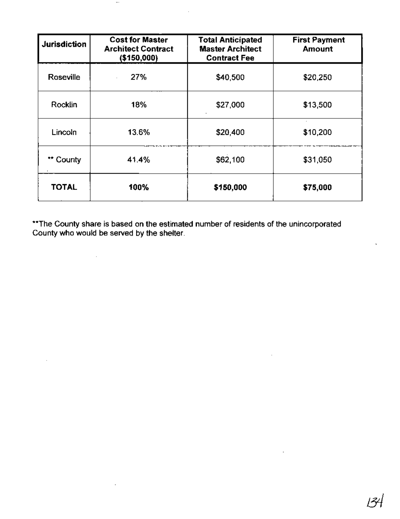| <b>Jurisdiction</b> | <b>Cost for Master</b><br><b>Architect Contract</b><br>(\$150,000) | <b>Total Anticipated</b><br><b>Master Architect</b><br><b>Contract Fee</b> | <b>First Payment</b><br>Amount |
|---------------------|--------------------------------------------------------------------|----------------------------------------------------------------------------|--------------------------------|
| <b>Roseville</b>    | 27%                                                                | \$40,500                                                                   | \$20,250                       |
| Rocklin             | 18%                                                                | \$27,000                                                                   | \$13,500                       |
| Lincoln             | 13.6%                                                              | \$20,400                                                                   | \$10,200                       |
| ** County           | 41.4%                                                              | \$62,100                                                                   | \$31,050                       |
| <b>TOTAL</b>        | 100%                                                               | \$150,000                                                                  | \$75,000                       |

 $\bar{z}$ 

 $\ldots$ 

 $\sim 10$ 

 $\mathcal{L}_{\mathcal{A}}$ 

\*\*The County share is based on the estimated number of residents of the unincorporated County who would be served by the shelter.

 $\mathcal{L}_{\mathcal{A}}$ 

 $\sim$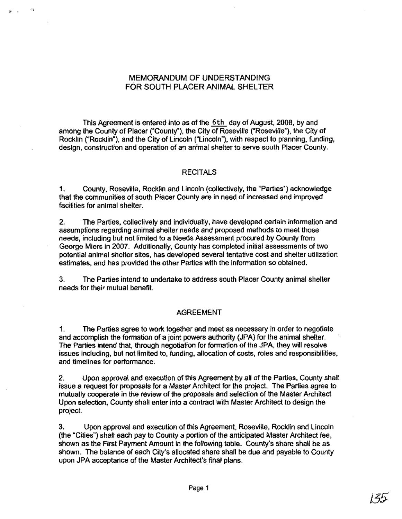# MEMORANDUM OF UNDERSTANDING FOR SOUTH PLACER ANIMAL SHELTER

 $\mathbf{a}$ 

This Agreement is entered into as of the 6th day of August, 2008, by and among the County of Placer ("County"), the City of Roseville ("Roseville"), the City of Rocklin ("Rocklin"), and the City of Lincoln ("Lincoln"), with respect to planning, funding, design, construction and operation of an animal shelter to serve south Placer County.

#### **RECITALS**

1. County, Roseville, Rocklin and Lincoln (collectively, the "Parties") acknowledge that the communities of south Placer County are in need of increased and improved facilities for animal shelter.

2. The Parties, collectively and individually, have developed certain information and assumptions regarding animal shelter needs and proposed methods to meet those needs, including but not limited to a Needs Assessment procured by County from George Miers in 2007. Additionally, County has completed initial assessments of two potential animal shelter sites, has developed several tentative cost and shelter utilization estimates, and has provided the other Parties with the information so obtained.

3. The Parties intend to undertake to address south Placer County animal shelter needs for their mutual benefit.

#### AGREEMENT

1. The Parties agree to work together and meet as necessary in order to negotiate and accomplish the formation of a joint powers authority (JPA) for the animal shelter. The Parties intend that, through negotiation for formation of the JPA, they will resolve issues including, but not limited to, funding, allocation of costs, roles and responsibilities, and timelines for performance.

2. Upon approval and execution of this Agreement by all of the Parties, County shall issue a request for proposals for a Master Architect for the project. The Parties agree to mutually cooperate in the review of the proposals and selection of the Master Architect Upon selection, County shall enter into a contract with Master Architect to design the project.

3. Upon approval and execution of this Agreement, Roseville, Rocklin and Lincoln (the "Cities") shall each pay to County a portion of the anticipated Master Architect fee, shown as the First Payment Amount in the following table. County's share shall be as shown. The balance of each City's allocated share shall be due and payable to County upon JPA acceptance of the Master Architect's final plans.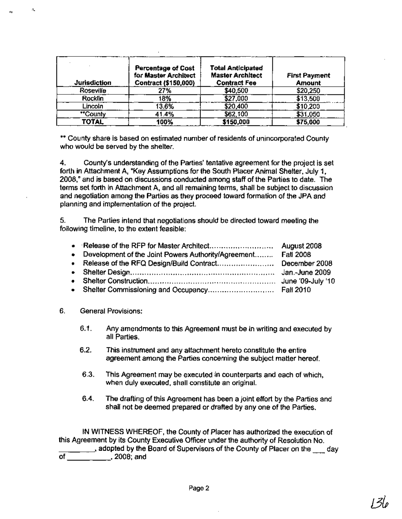| <b>Jurisdiction</b> | <b>Percentage of Cost</b><br>for Master Architect<br>Contract (\$150,000) | <b>Total Anticipated</b><br><b>Master Architect</b><br><b>Contract Fee</b> | <b>First Payment</b><br><b>Amount</b> |
|---------------------|---------------------------------------------------------------------------|----------------------------------------------------------------------------|---------------------------------------|
| Roseville           | 27%                                                                       | \$40,500                                                                   | \$20,250                              |
| Rocklin             | 18%                                                                       | \$27,000                                                                   | \$13,500                              |
| Lincoln             | 13.6%                                                                     | \$20,400                                                                   | \$10,200                              |
| "County             | 41.4%                                                                     | \$62,100                                                                   | \$31,050                              |
| <b>TOTAL</b>        | 100%                                                                      | \$150,000                                                                  | \$75,000                              |

\*\* County share is based on estimated number of residents of unincorporated County who would be served by the shelter.

4. County's understanding of the Parties' tentative agreement for the project is set forth in Attachment A, "Key Assumptions for the South Placer Animal Shelter, July 1, 2008," and is based on discussions conducted among staff of the Parties to date. The terms set forth in Attachment A, and all remaining terms, shall be subject to discussion and negotiation among the Parties as they proceed toward formation of the JPA and planning and implementation of the project.

5. The Parties intend that negotiations should be directed toward meeting the following timeline, to the extent feasible:

| • Development of the Joint Powers Authority/Agreement Fall 2008 |  |
|-----------------------------------------------------------------|--|
|                                                                 |  |
|                                                                 |  |
|                                                                 |  |
|                                                                 |  |

6. General Provisions:

..

 $\Lambda_{\rm s}$ 

- 6.1. Any amendments to this Agreement must be in writing and executed by all Parties.
- 6.2. This instrument and any attachment hereto constitute the entire agreement among the Parties conceming the subject matter hereof.
- 6.3. This Agreement may be executed in counterparts and each of which, when duly executed, shall constitute an original.
- 6.4. The drafting of this Agreement has been a joint effort by the Parties and shall not be deemed prepared or drafted by anyone of the Parties.

IN WITNESS WHEREOF, the County of Placer has authorized the execution of this Agreement by its County Executive Officer under the authority of Resolution No. **\_\_\_\_, adopted by the Board of Supervisors of the County of Placer on the Legality** of .2008; and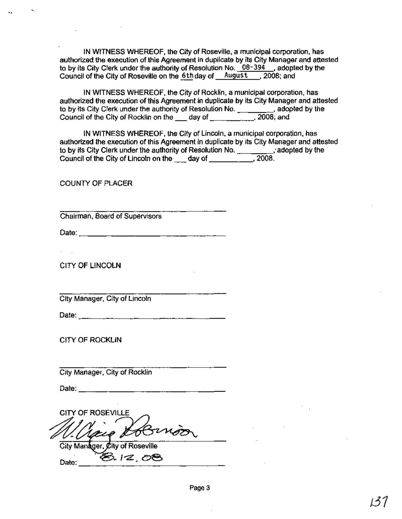IN WITNESS WHEREOF, the City of Roseville, a municipal corporation, has authorized the execution of this Agreement in duplicate by its City Manager and attested to by its City Clerk under the authority of Resolution No.  $08-394$ , adopted by the Council of the City of Roseville on the 6th day of August , 2008; and

IN WITNESS WHEREOF, the City of Rocklin, a municipal corporation, has authorized the execution of this Agreement in duplicate by its City Manager and attested to by its City Clerk under the authority of Resolution No. \_\_\_\_\_\_\_\_\_, adopted by the Council of the City of Rocklin on the \_\_\_ day of \_\_\_\_\_\_\_\_\_\_\_, 2008; and

IN WITNESS WHEREOF, the City of Lincoln, a municipal corporation, has authorized the execution of this Agreement in duplicate by its City Manager and attested to by its City Clerk under the authority of Resolution No.  $\frac{1}{2008}$ , adopted by the Council of the City of Lincoln on the day of Council of the City of Lincoln on the \_\_\_ day of \_\_\_\_\_\_\_\_\_\_\_

COUNTY OF PLACER

.,

Chairman, Board of Supervisors

Date: \_

CITY OF LINCOLN

 $\sim$ 

City Manager, City of Lincoln

Date: \_

CITY OF ROCKLIN

City Manager, City of Rocklin

Date: \_

CITY OF ROSEVILLE City Manager, City of Roseville

 $D_{\text{a}_1}$   $\bigotimes \qquad 1 \leq \qquad \bigotimes$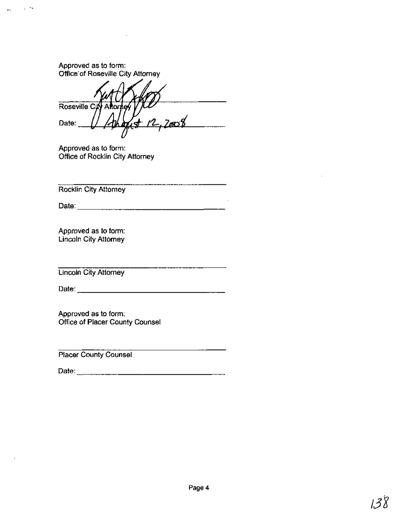Approved as to form: Office'of Roseville City Attorney

 $\sim$ 

 $\bullet$  1

Roseville Cuy Afton Date:

Approved as to form: Office of Rocklin City Attorney

Rocklin City Attorney

Date: \_

\_\_\_\_\_\_\_\_\_\_\_\_\_\_\_\_\_\_\_\_\_\_\_\_

the contract of the contract of the contract of the contract of the contract of the contract of the contract of

Approved as to form: Lincoln City Attorney

Lincoln City Attorney

Date: \_

Approved as to form: Office of Placer County Counsel

Placer County Counsel

Date: \_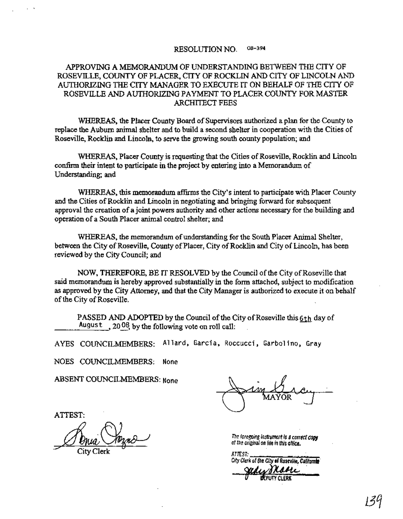#### RESOLUTION NO. 08-394

#### APPROVING A MEMORANDUM OF UNDERSTANDING BETWEEN THE CITY OF ROSEVILLE, COUNTY OF PLACER, CITY OF ROCKLIN AND CITY OF LINCOLN AND AUTHORIZING THE CITY MANAGER TO EXECUTE IT ON BEHALF OF THE CITY OF ROSEVILLE AND AUTHORIZING PAYMENT TO PLACER COUNTY FOR MASTER ARCHITECT FEES

WHEREAS, the Placer County Board of Supervisors authorized a plan for the County to replace the Auburn animal shelter and to build a second shelter in cooperation with the Cities of Roseville, Rocklin and Lincoln, to serve the growing south county population; and

WHEREAS, Placer County is requesting that the Cities of Roseville, Rocklin and Lincoln confirm their intent to participate in the project by entering into a Memorandum of Understanding; and

WHEREAS, this memorandum affirms the City's intent to participate with Placer County and the Cities of Rocklin and Lincoln in negotiating and bringing forward for subsequent approval the creation of a joint powers authority and other actions necessary for the building and operation of a South Placer animal control shelter; and

WHEREAS, the memorandum of understanding for the South Placer Animal Shelter, between the City of Roseville, County of Placer, City of Rocklin and City of Lincoln, has been reviewed by the City Council; and

NOW, THEREFORE, BE IT RESOLVED by the Council of the City of Roseville that said memorandum is hereby approved substantially in the form attached, subject to modification as approved by the City Attorney, and that the City Manager is authorized to execute it on behalf of the City of Roseville.

PASSED AND ADOPTED by the Council of the City of Roseville this  $6<sub>th</sub>$  day of August  $,20^{08}$  by the following vote on roll call:

AYES COUNCILMEMBERS: Allard, Garcia, Roccucci, Garbolino, Grav

NOES COUNCILMEMBERS: None

ABSENT COUNCILMEMBERS: None

ATTEST:

, <.

The foregoing last ument is a correct copy<br>The foregoing last ument is a correct copy<br>City Clerk<br>City Clerk

of the original on file in this office.

ATTF:ST: , City Clerk of the City **of** Roseville, Californ**ia**